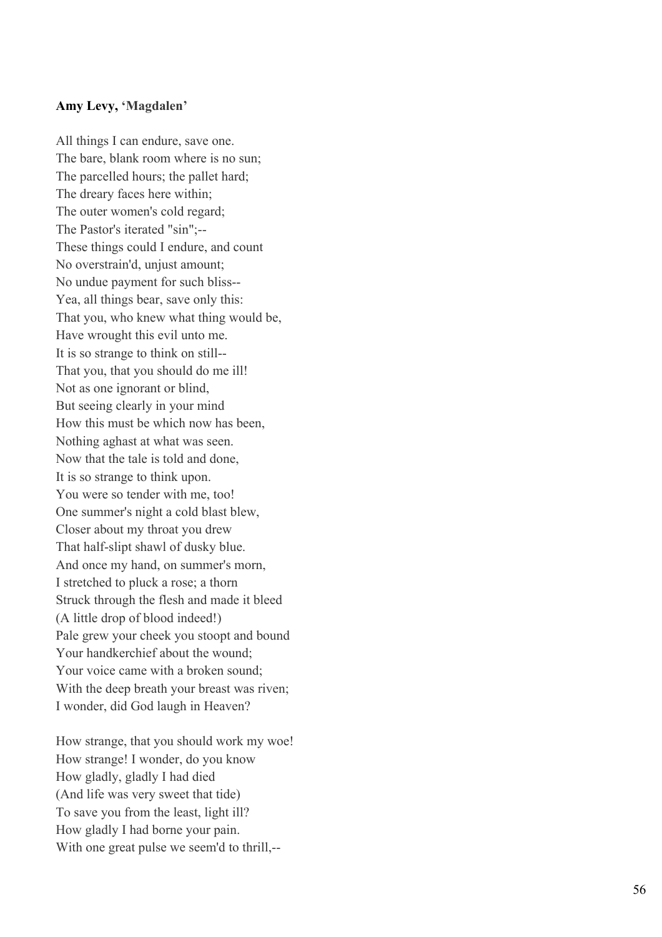### **Amy Levy, 'Magdalen'**

All things I can endure, save one. The bare, blank room where is no sun; The parcelled hours; the pallet hard; The dreary faces here within; The outer women's cold regard; The Pastor's iterated "sin";-- These things could I endure, and count No overstrain'd, unjust amount; No undue payment for such bliss-- Yea, all things bear, save only this: That you, who knew what thing would be, Have wrought this evil unto me. It is so strange to think on still-- That you, that you should do me ill! Not as one ignorant or blind, But seeing clearly in your mind How this must be which now has been, Nothing aghast at what was seen. Now that the tale is told and done, It is so strange to think upon. You were so tender with me, too! One summer's night a cold blast blew, Closer about my throat you drew That half-slipt shawl of dusky blue. And once my hand, on summer's morn, I stretched to pluck a rose; a thorn Struck through the flesh and made it bleed (A little drop of blood indeed!) Pale grew your cheek you stoopt and bound Your handkerchief about the wound; Your voice came with a broken sound; With the deep breath your breast was riven: I wonder, did God laugh in Heaven?

How strange, that you should work my woe! How strange! I wonder, do you know How gladly, gladly I had died (And life was very sweet that tide) To save you from the least, light ill? How gladly I had borne your pain. With one great pulse we seem'd to thrill,--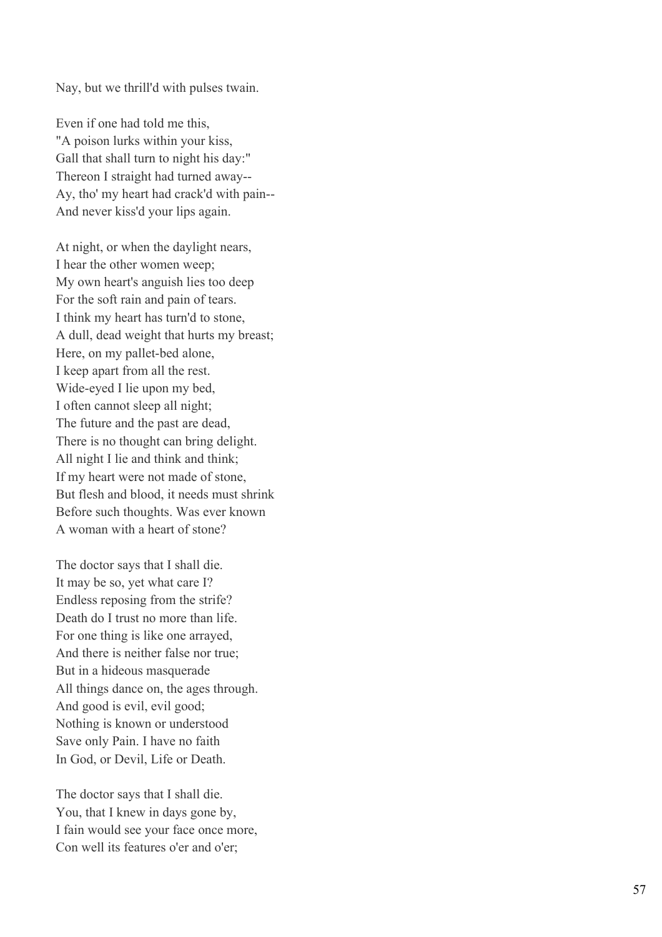Nay, but we thrill'd with pulses twain.

Even if one had told me this, "A poison lurks within your kiss, Gall that shall turn to night his day:" Thereon I straight had turned away-- Ay, tho' my heart had crack'd with pain-- And never kiss'd your lips again.

At night, or when the daylight nears, I hear the other women weep; My own heart's anguish lies too deep For the soft rain and pain of tears. I think my heart has turn'd to stone, A dull, dead weight that hurts my breast; Here, on my pallet -bed alone, I keep apart from all the rest. Wide -eyed I lie upon my bed, I often cannot sleep all night; The future and the past are dead, There is no thought can bring delight . All night I lie and think and think; If my heart were not made of stone, But flesh and blood, it needs must shrink Before such thoughts. Was ever known A woman with a heart of stone?

The doctor says that I shall die. It may be so, yet what care I? Endless reposing from the strife? Death do I trust no more than life. For one thing is like one arrayed, And there is neither false nor true; But in a hideous masquerade All things dance on, the ages through. And good is evil, evil good; Nothing is known or understood Save only Pain. I have no faith In God, or Devil, Life or Death.

The doctor says that I shall die. You, that I knew in days gone by, I fain would see your face once more, Con well its features o'er and o'er;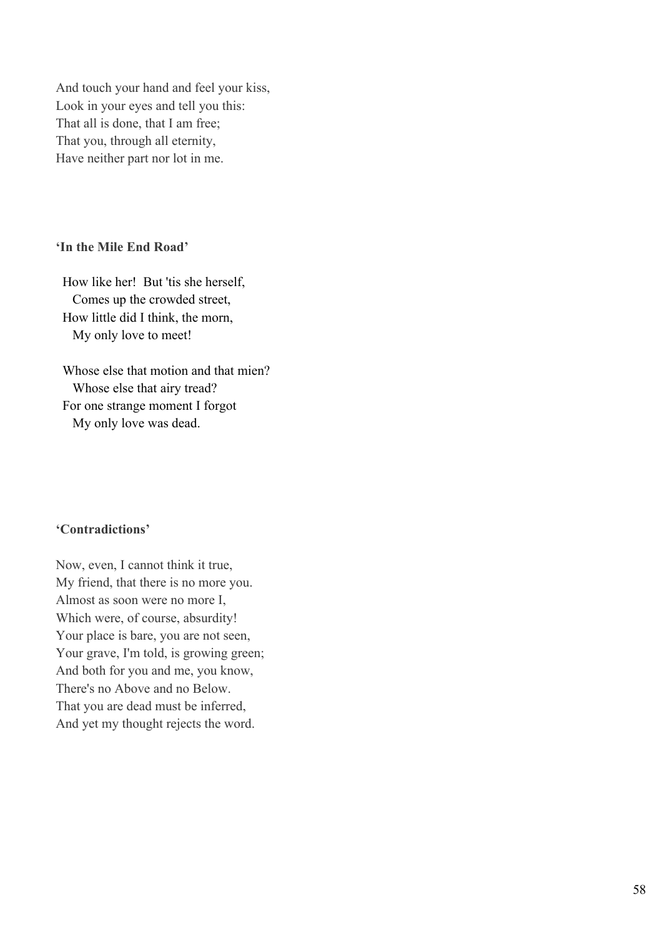And touch your hand and feel your kiss, Look in your eyes and tell you this: That all is done, that I am free; That you, through all eternity, Have neither part nor lot in me.

# **'In the Mile End Road'**

 How like her! But 'tis she herself, Comes up the crowded street, How little did I think, the morn, My only love to meet!

Whose else that motion and that mien? Whose else that airy tread? For one strange moment I forgot My only love was dead.

# **'Contradictions'**

Now, even, I cannot think it true, My friend, that there is no more you. Almost as soon were no more I, Which were, of course, absurdity! Your place is bare, you are not seen, Your grave, I'm told, is growing green; And both for you and me, you know, There's no Above and no Below. That you are dead must be inferred, And yet my thought rejects the word.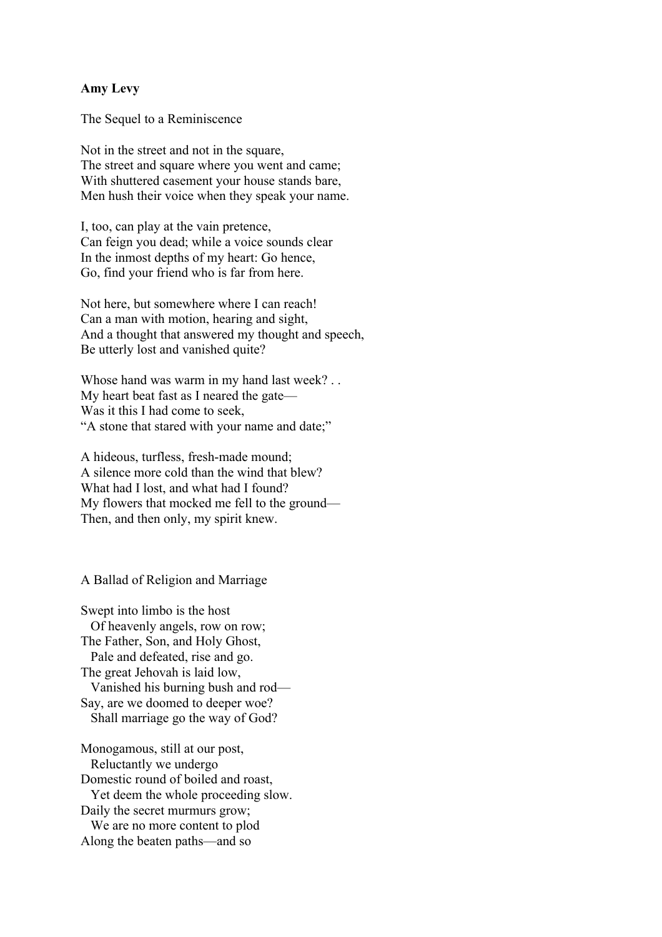# **Amy Levy**

The Sequel to a Reminiscence

Not in the street and not in the square, The street and square where you went and came: With shuttered casement your house stands bare, Men hush their voice when they speak your name.

I, too, can play at the vain pretence, Can feign you dead; while a voice sounds clear In the inmost depths of my heart: Go hence, Go, find your friend who is far from here.

Not here, but somewhere where I can reach! Can a man with motion, hearing and sight, And a thought that answered my thought and speech, Be utterly lost and vanished quite?

Whose hand was warm in my hand last week? . . My heart beat fast as I neared the gate— Was it this I had come to seek, "A stone that stared with your name and date;"

A hideous, turfless, fresh-made mound; A silence more cold than the wind that blew? What had I lost, and what had I found? My flowers that mocked me fell to the ground— Then, and then only, my spirit knew.

#### A Ballad of Religion and Marriage

Swept into limbo is the host Of heavenly angels, row on row; The Father, Son, and Holy Ghost, Pale and defeated, rise and go. The great Jehovah is laid low, Vanished his burning bush and rod— Say, are we doomed to deeper woe? Shall marriage go the way of God?

Monogamous, still at our post, Reluctantly we undergo Domestic round of boiled and roast, Yet deem the whole proceeding slow. Daily the secret murmurs grow; We are no more content to plod Along the beaten paths—and so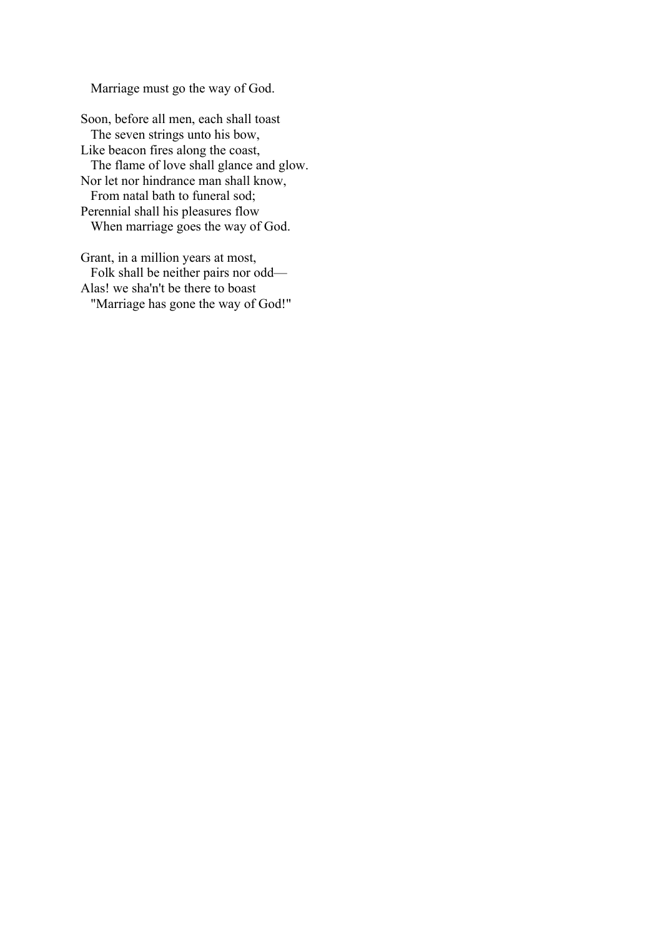Marriage must go the way of God.

Soon, before all men, each shall toast The seven strings unto his bow, Like beacon fires along the coast, The flame of love shall glance and glow. Nor let nor hindrance man shall know, From natal bath to funeral sod; Perennial shall his pleasures flow When marriage goes the way of God.

Grant, in a million years at most, Folk shall be neither pairs nor odd— Alas! we sha'n't be there to boast "Marriage has gone the way of God!"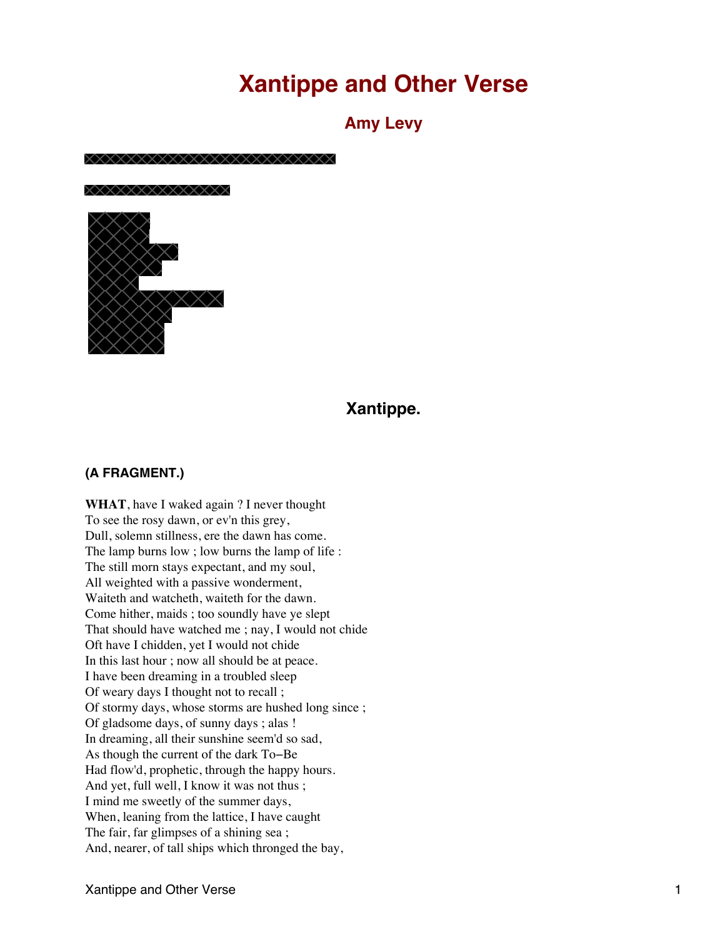**Amy Levy**

XXXXXXXXXXXXXXXXXXXXXXX



# **Xantippe.**

# **(A FRAGMENT.)**

**WHAT**, have I waked again ? I never thought To see the rosy dawn, or ev'n this grey, Dull, solemn stillness, ere the dawn has come. The lamp burns low ; low burns the lamp of life : The still morn stays expectant, and my soul, All weighted with a passive wonderment, Waiteth and watcheth, waiteth for the dawn. Come hither, maids ; too soundly have ye slept That should have watched me ; nay, I would not chide Oft have I chidden, yet I would not chide In this last hour ; now all should be at peace. I have been dreaming in a troubled sleep Of weary days I thought not to recall ; Of stormy days, whose storms are hushed long since ; Of gladsome days, of sunny days ; alas ! In dreaming, all their sunshine seem'd so sad, As though the current of the dark To−Be Had flow'd, prophetic, through the happy hours. And yet, full well, I know it was not thus ; I mind me sweetly of the summer days, When, leaning from the lattice, I have caught The fair, far glimpses of a shining sea ; And, nearer, of tall ships which thronged the bay,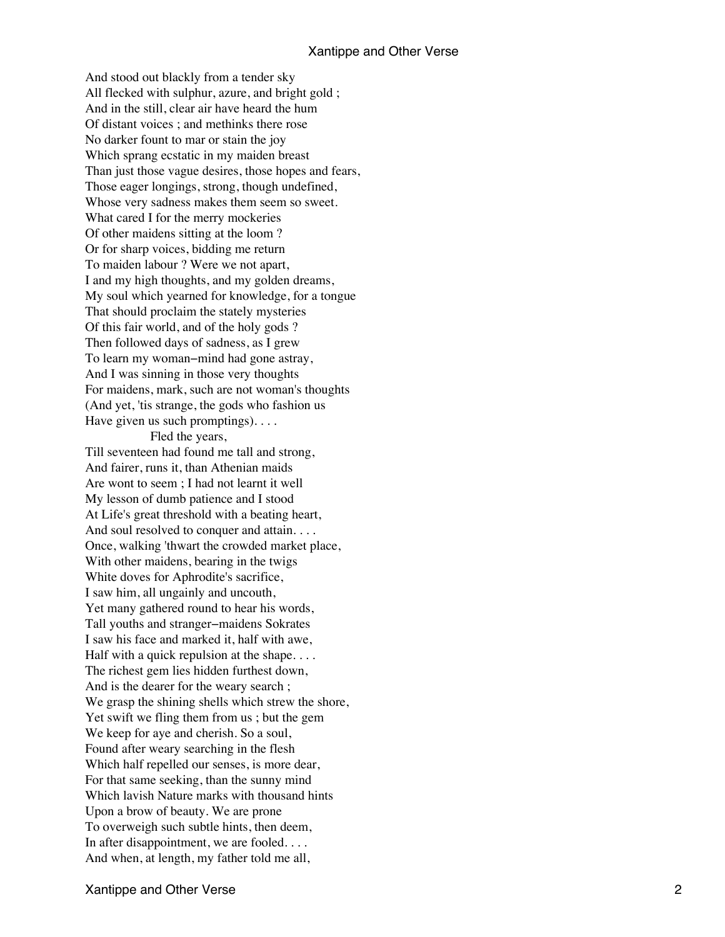And stood out blackly from a tender sky All flecked with sulphur, azure, and bright gold ; And in the still, clear air have heard the hum Of distant voices ; and methinks there rose No darker fount to mar or stain the joy Which sprang ecstatic in my maiden breast Than just those vague desires, those hopes and fears, Those eager longings, strong, though undefined, Whose very sadness makes them seem so sweet. What cared I for the merry mockeries Of other maidens sitting at the loom ? Or for sharp voices, bidding me return To maiden labour ? Were we not apart, I and my high thoughts, and my golden dreams, My soul which yearned for knowledge, for a tongue That should proclaim the stately mysteries Of this fair world, and of the holy gods ? Then followed days of sadness, as I grew To learn my woman-mind had gone astray, And I was sinning in those very thoughts For maidens, mark, such are not woman's thoughts (And yet, 'tis strange, the gods who fashion us Have given us such promptings). . . .

#### Fled the years,

Till seventeen had found me tall and strong, And fairer, runs it, than Athenian maids Are wont to seem ; I had not learnt it well My lesson of dumb patience and I stood At Life's great threshold with a beating heart, And soul resolved to conquer and attain. . . . Once, walking 'thwart the crowded market place, With other maidens, bearing in the twigs White doves for Aphrodite's sacrifice, I saw him, all ungainly and uncouth, Yet many gathered round to hear his words, Tall youths and stranger-maidens Sokrates I saw his face and marked it, half with awe, Half with a quick repulsion at the shape.... The richest gem lies hidden furthest down, And is the dearer for the weary search ; We grasp the shining shells which strew the shore, Yet swift we fling them from us ; but the gem We keep for aye and cherish. So a soul, Found after weary searching in the flesh Which half repelled our senses, is more dear, For that same seeking, than the sunny mind Which lavish Nature marks with thousand hints Upon a brow of beauty. We are prone To overweigh such subtle hints, then deem, In after disappointment, we are fooled. . . . And when, at length, my father told me all,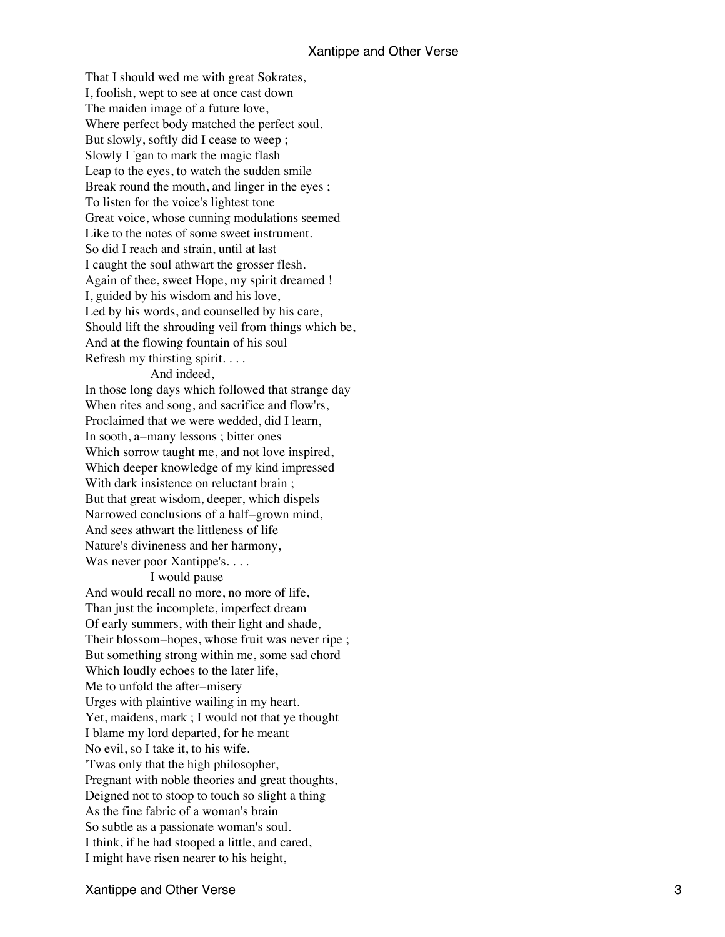That I should wed me with great Sokrates, I, foolish, wept to see at once cast down The maiden image of a future love, Where perfect body matched the perfect soul. But slowly, softly did I cease to weep ; Slowly I 'gan to mark the magic flash Leap to the eyes, to watch the sudden smile Break round the mouth, and linger in the eyes ; To listen for the voice's lightest tone Great voice, whose cunning modulations seemed Like to the notes of some sweet instrument. So did I reach and strain, until at last I caught the soul athwart the grosser flesh. Again of thee, sweet Hope, my spirit dreamed ! I, guided by his wisdom and his love, Led by his words, and counselled by his care, Should lift the shrouding veil from things which be, And at the flowing fountain of his soul Refresh my thirsting spirit. . . .

And indeed,

In those long days which followed that strange day When rites and song, and sacrifice and flow'rs, Proclaimed that we were wedded, did I learn, In sooth, a −many lessons ; bitter ones Which sorrow taught me, and not love inspired, Which deeper knowledge of my kind impressed With dark insistence on reluctant brain ; But that great wisdom, deeper, which dispels Narrowed conclusions of a half−grown mind, And sees athwart the littleness of life Nature's divineness and her harmony, Was never poor Xantippe's....

#### I would pause

And would recall no more, no more of life, Than just the incomplete, imperfect dream Of early summers, with their light and shade, Their blossom–hopes, whose fruit was never ripe; But something strong within me, some sad chord Which loudly echoes to the later life, Me to unfold the after-misery Urges with plaintive wailing in my heart. Yet, maidens, mark ; I would not that ye thought I blame my lord departed, for he meant No evil, so I take it, to his wife. 'Twas only that the high philosopher, Pregnant with noble theories and great thoughts, Deigned not to stoop to touch so slight a thing As the fine fabric of a woman's brain So subtle as a passionate woman's soul. I think, if he had stooped a little, and cared, I might have risen nearer to his height,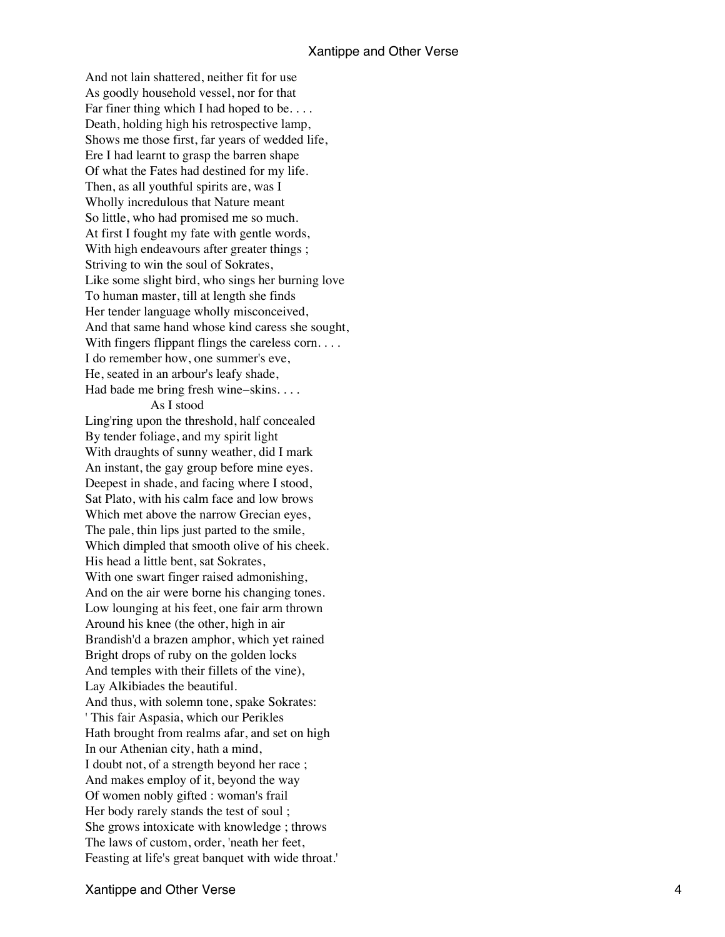And not lain shattered, neither fit for use As goodly household vessel, nor for that Far finer thing which I had hoped to be. . . . Death, holding high his retrospective lamp, Shows me those first, far years of wedded life, Ere I had learnt to grasp the barren shape Of what the Fates had destined for my life. Then, as all youthful spirits are, was I Wholly incredulous that Nature meant So little, who had promised me so much. At first I fought my fate with gentle words, With high endeavours after greater things ; Striving to win the soul of Sokrates, Like some slight bird, who sings her burning love To human master, till at length she finds Her tender language wholly misconceived, And that same hand whose kind caress she sought, With fingers flippant flings the careless corn.... I do remember how, one summer's eve, He, seated in an arbour's leafy shade, Had bade me bring fresh wine–skins. . . .

#### As I stood

Ling'ring upon the threshold, half concealed By tender foliage, and my spirit light With draughts of sunny weather, did I mark An instant, the gay group before mine eyes. Deepest in shade, and facing where I stood, Sat Plato, with his calm face and low brows Which met above the narrow Grecian eyes, The pale, thin lips just parted to the smile, Which dimpled that smooth olive of his cheek. His head a little bent, sat Sokrates, With one swart finger raised admonishing, And on the air were borne his changing tones. Low lounging at his feet, one fair arm thrown Around his knee (the other, high in air Brandish'd a brazen amphor, which yet rained Bright drops of ruby on the golden locks And temples with their fillets of the vine), Lay Alkibiades the beautiful. And thus, with solemn tone, spake Sokrates: ' This fair Aspasia, which our Perikles Hath brought from realms afar, and set on high In our Athenian city, hath a mind, I doubt not, of a strength beyond her race ; And makes employ of it, beyond the way Of women nobly gifted : woman's frail Her body rarely stands the test of soul ; She grows intoxicate with knowledge ; throws The laws of custom, order, 'neath her feet, Feasting at life's great banquet with wide throat.'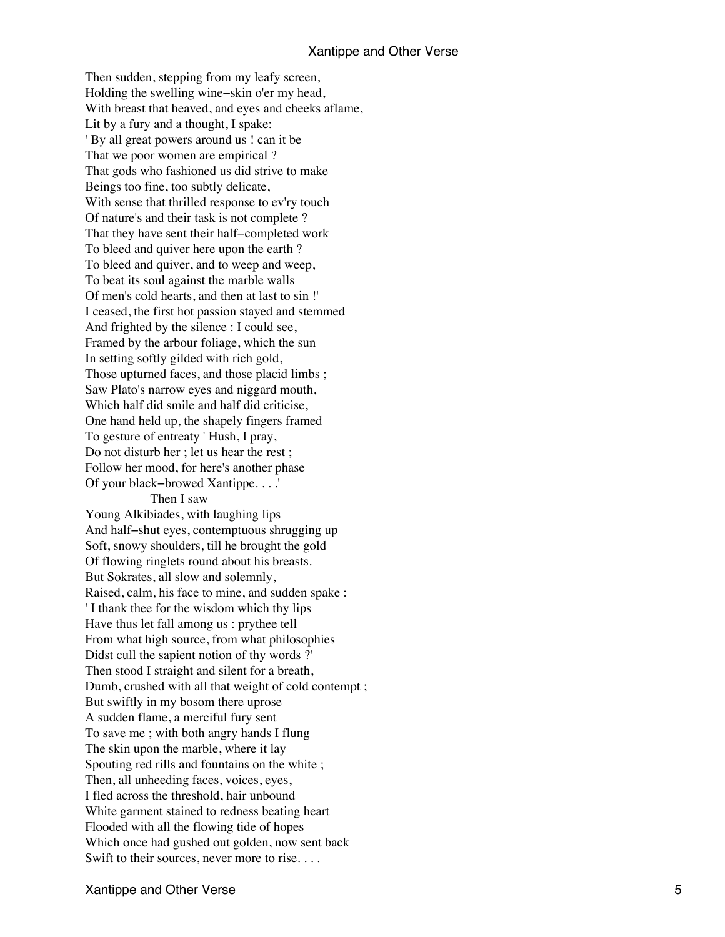Then sudden, stepping from my leafy screen, Holding the swelling wine −skin o'er my head, With breast that heaved, and eyes and cheeks aflame, Lit by a fury and a thought, I spake: ' By all great powers around us ! can it be That we poor women are empirical ? That gods who fashioned us did strive to make Beings too fine, too subtly delicate, With sense that thrilled response to ev'ry touch Of nature's and their task is not complete ? That they have sent their half−completed work To bleed and quiver here upon the earth ? To bleed and quiver, and to weep and weep, To beat its soul against the marble walls Of men's cold hearts, and then at last to sin !' I ceased, the first hot passion stayed and stemmed And frighted by the silence : I could see, Framed by the arbour foliage, which the sun In setting softly gilded with rich gold, Those upturned faces, and those placid limbs ; Saw Plato's narrow eyes and niggard mouth, Which half did smile and half did criticise, One hand held up, the shapely fingers framed To gesture of entreaty ' Hush, I pray, Do not disturb her ; let us hear the rest ; Follow her mood, for here's another phase Of your black −browed Xantippe. . . .'

#### Then I saw

Young Alkibiades, with laughing lips And half−shut eyes, contemptuous shrugging up Soft, snowy shoulders, till he brought the gold Of flowing ringlets round about his breasts. But Sokrates, all slow and solemnly, Raised, calm, his face to mine, and sudden spake : ' I thank thee for the wisdom which thy lips Have thus let fall among us : prythee tell From what high source, from what philosophies Didst cull the sapient notion of thy words ?' Then stood I straight and silent for a breath, Dumb, crushed with all that weight of cold contempt ; But swiftly in my bosom there uprose A sudden flame, a merciful fury sent To save me ; with both angry hands I flung The skin upon the marble, where it lay Spouting red rills and fountains on the white ; Then, all unheeding faces, voices, eyes, I fled across the threshold, hair unbound White garment stained to redness beating heart Flooded with all the flowing tide of hopes Which once had gushed out golden, now sent back Swift to their sources, never more to rise. . . .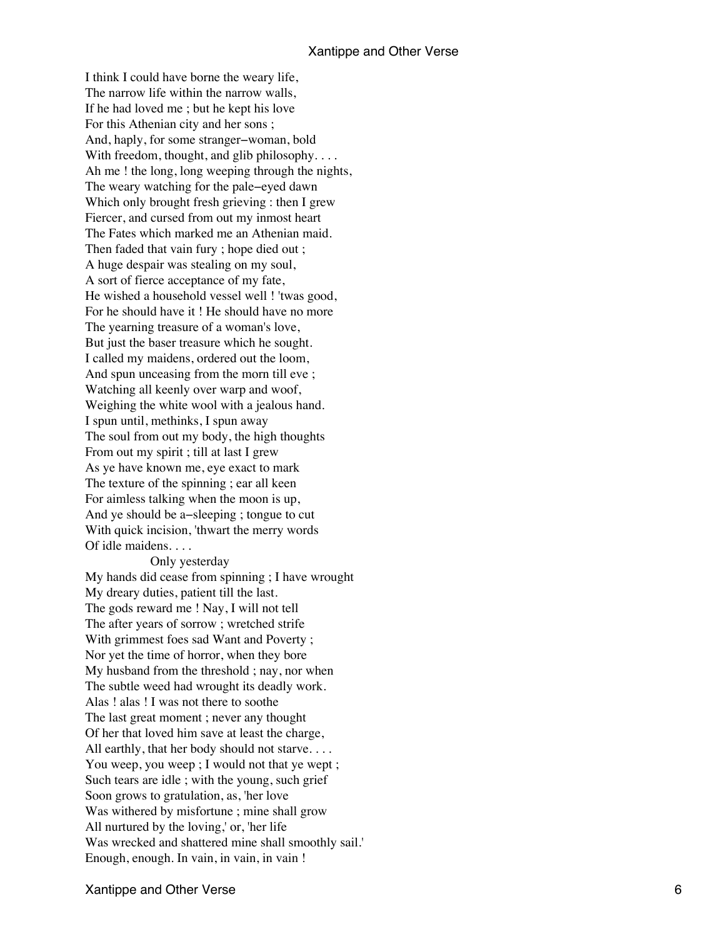I think I could have borne the weary life, The narrow life within the narrow walls, If he had loved me ; but he kept his love For this Athenian city and her sons ; And, haply, for some stranger-woman, bold With freedom, thought, and glib philosophy.... Ah me ! the long, long weeping through the nights, The weary watching for the pale–eyed dawn Which only brought fresh grieving : then I grew Fiercer, and cursed from out my inmost heart The Fates which marked me an Athenian maid. Then faded that vain fury ; hope died out ; A huge despair was stealing on my soul, A sort of fierce acceptance of my fate, He wished a household vessel well ! 'twas good, For he should have it ! He should have no more The yearning treasure of a woman's love, But just the baser treasure which he sought. I called my maidens, ordered out the loom, And spun unceasing from the morn till eve ; Watching all keenly over warp and woof, Weighing the white wool with a jealous hand. I spun until, methinks, I spun away The soul from out my body, the high thoughts From out my spirit ; till at last I grew As ye have known me, eye exact to mark The texture of the spinning ; ear all keen For aimless talking when the moon is up, And ye should be a −sleeping ; tongue to cut With quick incision, 'thwart the merry words Of idle maidens. . . .

#### Only yesterday

My hands did cease from spinning ; I have wrought My dreary duties, patient till the last. The gods reward me ! Nay, I will not tell The after years of sorrow ; wretched strife With grimmest foes sad Want and Poverty ; Nor yet the time of horror, when they bore My husband from the threshold ; nay, nor when The subtle weed had wrought its deadly work. Alas ! alas ! I was not there to soothe The last great moment ; never any thought Of her that loved him save at least the charge, All earthly, that her body should not starve.... You weep, you weep ; I would not that ye wept ; Such tears are idle ; with the young, such grief Soon grows to gratulation, as, 'her love Was withered by misfortune ; mine shall grow All nurtured by the loving,' or, 'her life Was wrecked and shattered mine shall smoothly sail.' Enough, enough. In vain, in vain, in vain !

#### Xantippe and Other Verse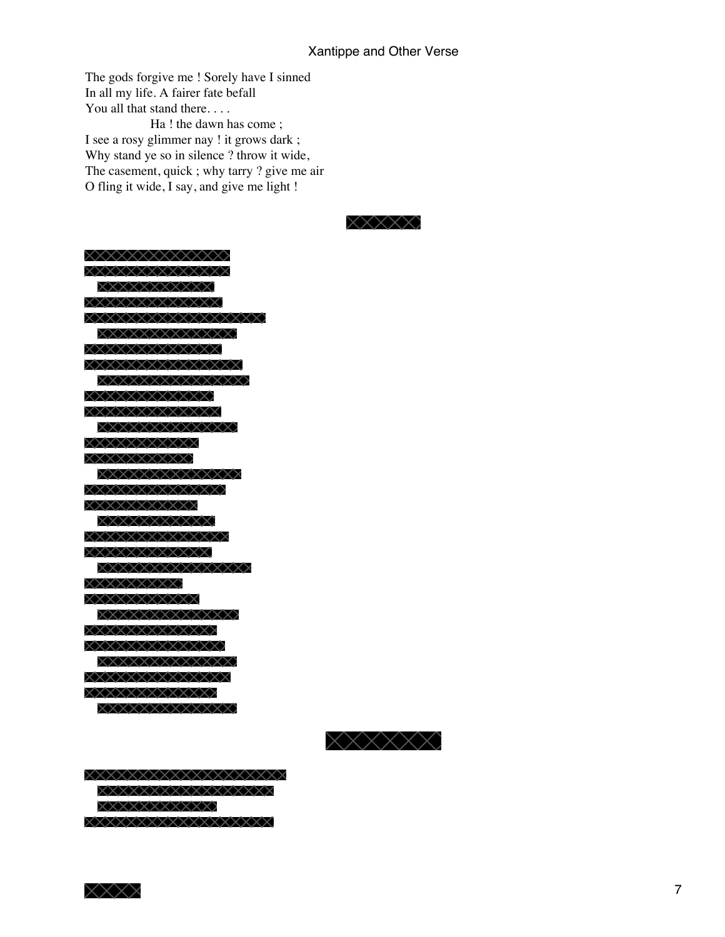The gods forgive me ! Sorely have I sinned In all my life. A fairer fate befall You all that stand there....

 Ha ! the dawn has come ; I see a rosy glimmer nay ! it grows dark ; Why stand ye so in silence ? throw it wide, The casement, quick ; why tarry ? give me air O fling it wide, I say, and give me light !



XXXXXXXXXXX **XXXXXXXXXXXX** XXXXXXXXXXX XXXXXXXXXXXX XXXXXXXXXXXXXXXX XXXXXXXXXXXX XXXXXXXXXXXX **XXXXXXXXXXXXXX** XXXXXXXXXXXXXX XXXXXXXXXXXX XXXXXXXXXXXX XXXXXXXXXXXX XXXXXXXXXXX XXXXXXXXXX **XXXXXXXXXXXXX** XXXXXXXXXXXXX **XXXXXXXXXX** XXXXXXXXXX **XXXXXXXXXXXXX** XXXXXXXXXXXX XXXXXXXXXXXXXX  $\times\times\times\times\times\times\times$ **XXXXXXXXXX** XXXXXXXXXXXXX XXXXXXXXXXXX **XXXXXXXXXXXX**X **XXXXXXXXXXXX** XXXXXXXXXXXXX XXXXXXXXXXXX XXXXXXXXXXXX



XXXXXXXXXXXXXXXXXX  $\times\times\times\times\times$ XXXXXXXX **XXXXXXXXXXX** XXXXXXXXXXXXXXXXX

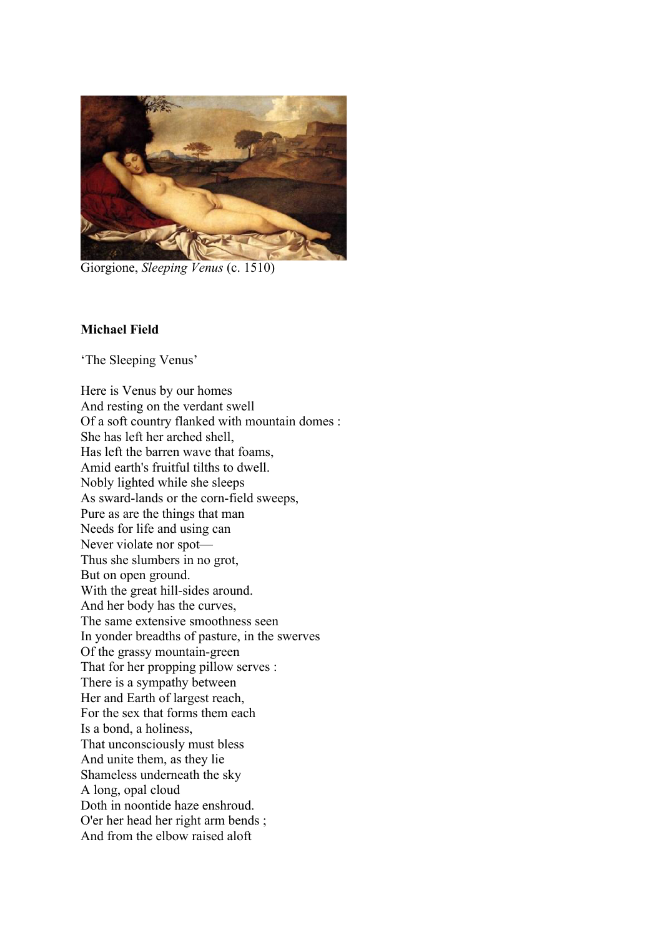

Giorgione, *Sleeping Venus* (c. 1510)

# **Michael Field**

'The Sleeping Venus'

Here is Venus by our homes And resting on the verdant swell Of a soft country flanked with mountain domes : She has left her arched shell, Has left the barren wave that foams, Amid earth's fruitful tilths to dwell. Nobly lighted while she sleeps As sward-lands or the corn-field sweeps, Pure as are the things that man Needs for life and using can Never violate nor spot— Thus she slumbers in no grot, But on open ground. With the great hill-sides around. And her body has the curves, The same extensive smoothness seen In yonder breadths of pasture, in the swerves Of the grassy mountain-green That for her propping pillow serves : There is a sympathy between Her and Earth of largest reach, For the sex that forms them each Is a bond, a holiness, That unconsciously must bless And unite them, as they lie Shameless underneath the sky A long, opal cloud Doth in noontide haze enshroud. O'er her head her right arm bends ; And from the elbow raised aloft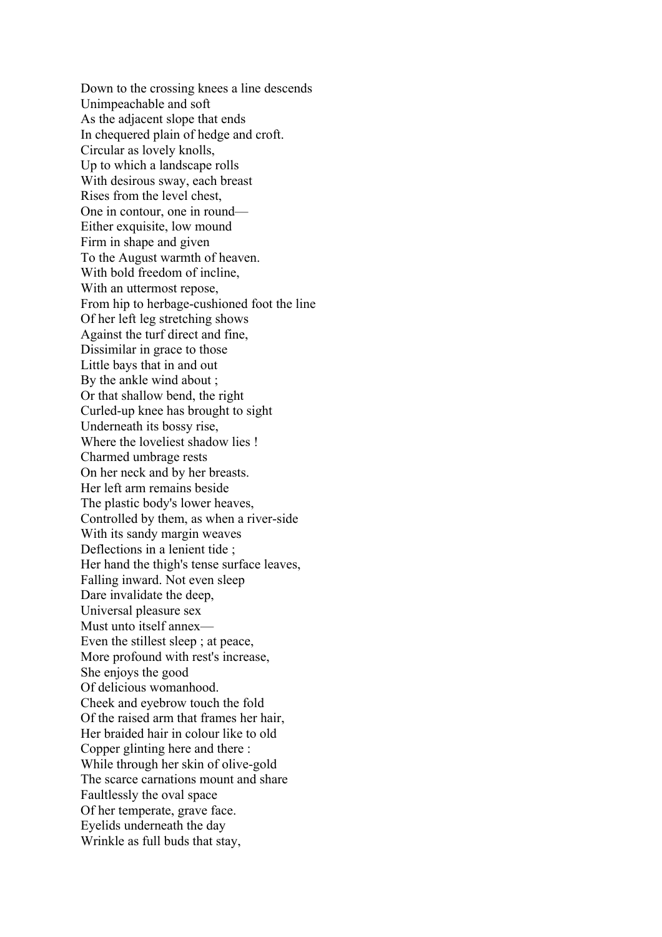Down to the crossing knees a line descends Unimpeachable and soft As the adjacent slope that ends In chequered plain of hedge and croft. Circular as lovely knolls, Up to which a landscape rolls With desirous sway, each breast Rises from the level chest, One in contour, one in round— Either exquisite, low mound Firm in shape and given To the August warmth of heaven. With bold freedom of incline, With an uttermost repose, From hip to herbage-cushioned foot the line Of her left leg stretching shows Against the turf direct and fine, Dissimilar in grace to those Little bays that in and out By the ankle wind about ; Or that shallow bend, the right Curled-up knee has brought to sight Underneath its bossy rise, Where the loveliest shadow lies ! Charmed umbrage rests On her neck and by her breasts. Her left arm remains beside The plastic body's lower heaves, Controlled by them, as when a river-side With its sandy margin weaves Deflections in a lenient tide ; Her hand the thigh's tense surface leaves, Falling inward. Not even sleep Dare invalidate the deep, Universal pleasure sex Must unto itself annex— Even the stillest sleep ; at peace, More profound with rest's increase, She enjoys the good Of delicious womanhood. Cheek and eyebrow touch the fold Of the raised arm that frames her hair, Her braided hair in colour like to old Copper glinting here and there : While through her skin of olive-gold The scarce carnations mount and share Faultlessly the oval space Of her temperate, grave face. Eyelids underneath the day Wrinkle as full buds that stay,